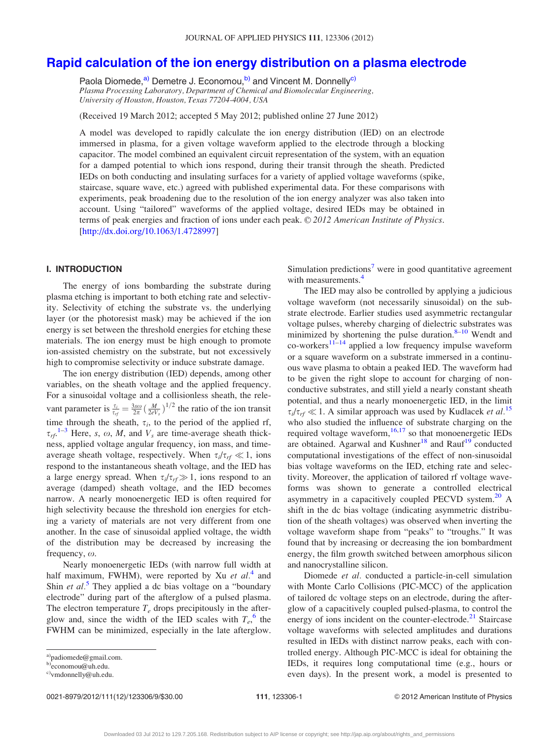# [Rapid calculation of the ion energy distribution on a plasma electrode](http://dx.doi.org/10.1063/1.4728997)

Paola Diomede,<sup>a)</sup> Demetre J. Economou,<sup>b)</sup> and Vincent M. Donnelly<sup>c)</sup> Plasma Processing Laboratory, Department of Chemical and Biomolecular Engineering, University of Houston, Houston, Texas 77204-4004, USA

(Received 19 March 2012; accepted 5 May 2012; published online 27 June 2012)

A model was developed to rapidly calculate the ion energy distribution (IED) on an electrode immersed in plasma, for a given voltage waveform applied to the electrode through a blocking capacitor. The model combined an equivalent circuit representation of the system, with an equation for a damped potential to which ions respond, during their transit through the sheath. Predicted IEDs on both conducting and insulating surfaces for a variety of applied voltage waveforms (spike, staircase, square wave, etc.) agreed with published experimental data. For these comparisons with experiments, peak broadening due to the resolution of the ion energy analyzer was also taken into account. Using "tailored" waveforms of the applied voltage, desired IEDs may be obtained in terms of peak energies and fraction of ions under each peak. © 2012 American Institute of Physics. [\[http://dx.doi.org/10.1063/1.4728997](http://dx.doi.org/10.1063/1.4728997)]

# I. INTRODUCTION

The energy of ions bombarding the substrate during plasma etching is important to both etching rate and selectivity. Selectivity of etching the substrate vs. the underlying layer (or the photoresist mask) may be achieved if the ion energy is set between the threshold energies for etching these materials. The ion energy must be high enough to promote ion-assisted chemistry on the substrate, but not excessively high to compromise selectivity or induce substrate damage.

The ion energy distribution (IED) depends, among other variables, on the sheath voltage and the applied frequency. For a sinusoidal voltage and a collisionless sheath, the relevant parameter is  $\frac{\tau_i}{\tau_{rf}} = \frac{3s\omega}{2\pi} \left(\frac{M}{2eV_s}\right)^{1/2}$  the ratio of the ion transit time through the sheath,  $\tau_i$ , to the period of the applied rf,  $\tau_{rf}$ <sup>[1–3](#page-8-0)</sup> Here, s,  $\omega$ , M, and  $V_s$  are time-average sheath thickness, applied voltage angular frequency, ion mass, and timeaverage sheath voltage, respectively. When  $\tau_i/\tau_{rf} \ll 1$ , ions respond to the instantaneous sheath voltage, and the IED has a large energy spread. When  $\tau_i/\tau_{rf} \gg 1$ , ions respond to an average (damped) sheath voltage, and the IED becomes narrow. A nearly monoenergetic IED is often required for high selectivity because the threshold ion energies for etching a variety of materials are not very different from one another. In the case of sinusoidal applied voltage, the width of the distribution may be decreased by increasing the frequency,  $\omega$ .

Nearly monoenergetic IEDs (with narrow full width at half maximum, FWHM), were reported by Xu *et al.*<sup>[4](#page-8-0)</sup> and Shin *et al.*<sup>[5](#page-8-0)</sup> They applied a dc bias voltage on a "boundary" electrode" during part of the afterglow of a pulsed plasma. The electron temperature  $T_e$  drops precipitously in the afterglow and, since the width of the IED scales with  $T_e$ <sup>[6](#page-8-0)</sup> the FWHM can be minimized, especially in the late afterglow.

0021-8979/2012/111(12)/123306/9/\$30.00 111, 123306-1 © 2012 American Institute of Physics

Simulation predictions<sup>7</sup> were in good quantitative agreement

The IED may also be controlled by applying a judicious voltage waveform (not necessarily sinusoidal) on the substrate electrode. Earlier studies used asymmetric rectangular voltage pulses, whereby charging of dielectric substrates was minimized by shortening the pulse duration. $8-10$  Wendt and  $\text{co-workers}^{11-14}$  applied a low frequency impulse waveform or a square waveform on a substrate immersed in a continuous wave plasma to obtain a peaked IED. The waveform had to be given the right slope to account for charging of nonconductive substrates, and still yield a nearly constant sheath potential, and thus a nearly monoenergetic IED, in the limit  $\tau_i/\tau_{if} \ll 1$ . A similar approach was used by Kudlacek *et al.*<sup>[15](#page-8-0)</sup> who also studied the influence of substrate charging on the required voltage waveform, $16,17$  so that monoenergetic IEDs are obtained. Agarwal and Kushner<sup>[18](#page-8-0)</sup> and Rauf<sup>[19](#page-8-0)</sup> conducted computational investigations of the effect of non-sinusoidal bias voltage waveforms on the IED, etching rate and selectivity. Moreover, the application of tailored rf voltage waveforms was shown to generate a controlled electrical asymmetry in a capacitively coupled PECVD system.<sup>[20](#page-8-0)</sup> A shift in the dc bias voltage (indicating asymmetric distribution of the sheath voltages) was observed when inverting the voltage waveform shape from "peaks" to "troughs." It was found that by increasing or decreasing the ion bombardment energy, the film growth switched between amorphous silicon

Diomede et al. conducted a particle-in-cell simulation with Monte Carlo Collisions (PIC-MCC) of the application of tailored dc voltage steps on an electrode, during the afterglow of a capacitively coupled pulsed-plasma, to control the energy of ions incident on the counter-electrode. $^{21}$  $^{21}$  $^{21}$  Staircase voltage waveforms with selected amplitudes and durations resulted in IEDs with distinct narrow peaks, each with controlled energy. Although PIC-MCC is ideal for obtaining the IEDs, it requires long computational time (e.g., hours or even days). In the present work, a model is presented to

with measurements.<sup>[4](#page-8-0)</sup>

and nanocrystalline silicon.

a)padiomede@gmail.com.

b)economou@uh.edu.

<sup>&</sup>lt;sup>c)</sup>vmdonnelly@uh.edu.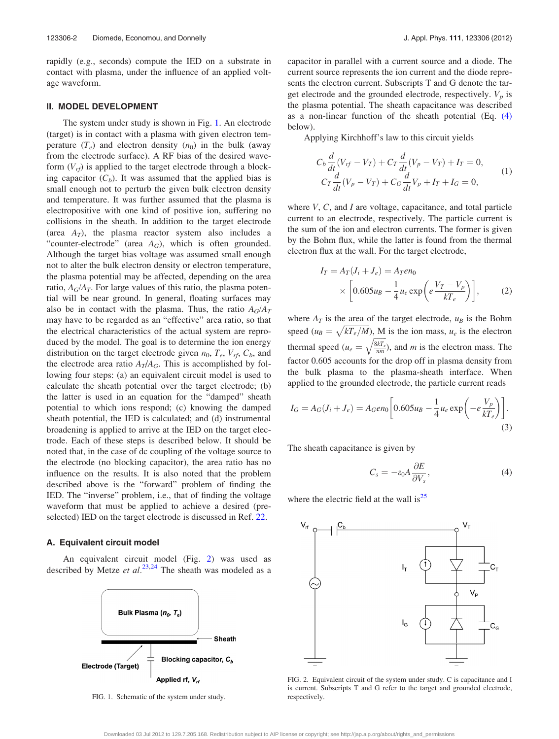<span id="page-1-0"></span>rapidly (e.g., seconds) compute the IED on a substrate in contact with plasma, under the influence of an applied voltage waveform.

# II. MODEL DEVELOPMENT

The system under study is shown in Fig. 1. An electrode (target) is in contact with a plasma with given electron temperature  $(T_e)$  and electron density  $(n_0)$  in the bulk (away from the electrode surface). A RF bias of the desired waveform  $(V_{rf})$  is applied to the target electrode through a blocking capacitor  $(C_b)$ . It was assumed that the applied bias is small enough not to perturb the given bulk electron density and temperature. It was further assumed that the plasma is electropositive with one kind of positive ion, suffering no collisions in the sheath. In addition to the target electrode (area  $A_T$ ), the plasma reactor system also includes a "counter-electrode" (area  $A_G$ ), which is often grounded. Although the target bias voltage was assumed small enough not to alter the bulk electron density or electron temperature, the plasma potential may be affected, depending on the area ratio,  $A_G/A_T$ . For large values of this ratio, the plasma potential will be near ground. In general, floating surfaces may also be in contact with the plasma. Thus, the ratio  $A_G/A_T$ may have to be regarded as an "effective" area ratio, so that the electrical characteristics of the actual system are reproduced by the model. The goal is to determine the ion energy distribution on the target electrode given  $n_0$ ,  $T_e$ ,  $V_{rf}$ ,  $C_b$ , and the electrode area ratio  $A_T/A_G$ . This is accomplished by following four steps: (a) an equivalent circuit model is used to calculate the sheath potential over the target electrode; (b) the latter is used in an equation for the "damped" sheath potential to which ions respond; (c) knowing the damped sheath potential, the IED is calculated; and (d) instrumental broadening is applied to arrive at the IED on the target electrode. Each of these steps is described below. It should be noted that, in the case of dc coupling of the voltage source to the electrode (no blocking capacitor), the area ratio has no influence on the results. It is also noted that the problem described above is the "forward" problem of finding the IED. The "inverse" problem, i.e., that of finding the voltage waveform that must be applied to achieve a desired (preselected) IED on the target electrode is discussed in Ref. [22](#page-8-0).

# A. Equivalent circuit model

An equivalent circuit model (Fig. 2) was used as described by Metze et al.<sup>[23,24](#page-8-0)</sup> The sheath was modeled as a



FIG. 1. Schematic of the system under study.

capacitor in parallel with a current source and a diode. The current source represents the ion current and the diode represents the electron current. Subscripts T and G denote the target electrode and the grounded electrode, respectively.  $V_p$  is the plasma potential. The sheath capacitance was described as a non-linear function of the sheath potential (Eq. (4) below).

Applying Kirchhoff's law to this circuit yields

$$
C_b \frac{d}{dt}(V_{rf} - V_T) + C_T \frac{d}{dt}(V_p - V_T) + I_T = 0,
$$
  
\n
$$
C_T \frac{d}{dt}(V_p - V_T) + C_G \frac{d}{dt}V_p + I_T + I_G = 0,
$$
\n(1)

where V, C, and I are voltage, capacitance, and total particle current to an electrode, respectively. The particle current is the sum of the ion and electron currents. The former is given by the Bohm flux, while the latter is found from the thermal electron flux at the wall. For the target electrode,

$$
I_T = A_T (J_i + J_e) = A_T en_0
$$
  
 
$$
\times \left[ 0.605 u_B - \frac{1}{4} u_e \exp\left(e \frac{V_T - V_p}{kT_e}\right) \right],
$$
 (2)

where  $A_T$  is the area of the target electrode,  $u_B$  is the Bohm speed  $(u_B = \sqrt{kT_e/M})$ , M is the ion mass,  $u_e$  is the electron thermal speed ( $u_e$  =  $\frac{8kT_e}{\pi m}$  $\gamma$ ), and  $m$  is the electron mass. The factor 0.605 accounts for the drop off in plasma density from the bulk plasma to the plasma-sheath interface. When applied to the grounded electrode, the particle current reads

$$
I_G = A_G(J_i + J_e) = A_G en_0 \left[ 0.605 u_B - \frac{1}{4} u_e \exp\left( -e \frac{V_p}{kT_e} \right) \right].
$$
\n(3)

The sheath capacitance is given by

$$
C_s = -\varepsilon_0 A \frac{\partial E}{\partial V_s},\tag{4}
$$

where the electric field at the wall is<sup>25</sup>



FIG. 2. Equivalent circuit of the system under study. C is capacitance and I is current. Subscripts T and G refer to the target and grounded electrode, respectively.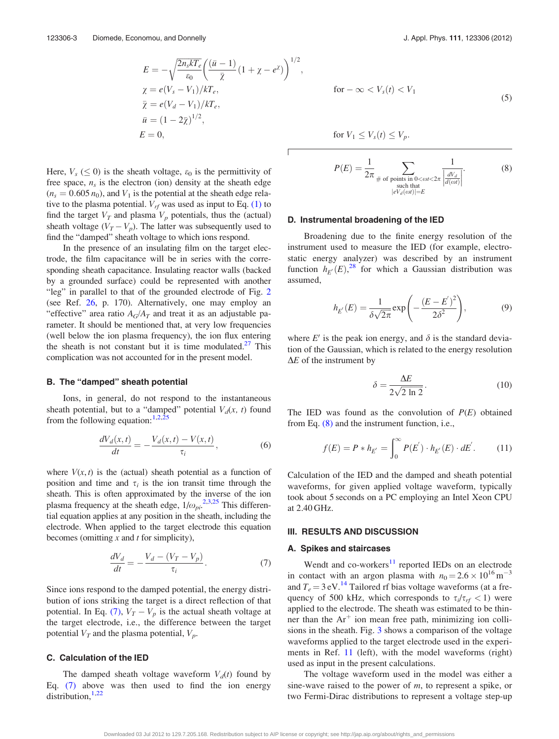<span id="page-2-0"></span>
$$
E = -\sqrt{\frac{2n_s kT_e}{\epsilon_0}} \left( \frac{(\bar{u} - 1)}{\bar{\chi}} (1 + \chi - e^{\chi}) \right)^{1/2},
$$
  
\n
$$
\chi = e(V_s - V_1)/kT_e,
$$
  
\n
$$
\bar{\chi} = e(V_d - V_1)/kT_e,
$$
  
\n
$$
\bar{u} = (1 - 2\bar{\chi})^{1/2},
$$
  
\n
$$
E = 0,
$$
  
\nfor  $V_1 \le V_s(t) \le V_p$ .

Г

Here,  $V_s \leq 0$ ) is the sheath voltage,  $\varepsilon_0$  is the permittivity of free space,  $n<sub>s</sub>$  is the electron (ion) density at the sheath edge  $(n_s = 0.605 n_0)$ , and  $V_1$  is the potential at the sheath edge relative to the plasma potential.  $V_{rf}$  was used as input to Eq. [\(1\)](#page-1-0) to find the target  $V_T$  and plasma  $V_p$  potentials, thus the (actual) sheath voltage  $(V_T - V_p)$ . The latter was subsequently used to find the "damped" sheath voltage to which ions respond.

In the presence of an insulating film on the target electrode, the film capacitance will be in series with the corresponding sheath capacitance. Insulating reactor walls (backed by a grounded surface) could be represented with another "leg" in parallel to that of the grounded electrode of Fig. [2](#page-1-0) (see Ref. [26](#page-8-0), p. 170). Alternatively, one may employ an "effective" area ratio  $A_G/A_T$  and treat it as an adjustable parameter. It should be mentioned that, at very low frequencies (well below the ion plasma frequency), the ion flux entering the sheath is not constant but it is time modulated.<sup>27</sup> This complication was not accounted for in the present model.

### B. The "damped" sheath potential

Ions, in general, do not respond to the instantaneous sheath potential, but to a "damped" potential  $V<sub>d</sub>(x, t)$  found from the following equation:  $1,2,25$  $1,2,25$  $1,2,25$ 

$$
\frac{dV_d(x,t)}{dt} = -\frac{V_d(x,t) - V(x,t)}{\tau_i},\tag{6}
$$

where  $V(x, t)$  is the (actual) sheath potential as a function of position and time and  $\tau_i$  is the ion transit time through the sheath. This is often approximated by the inverse of the ion plasma frequency at the sheath edge,  $1/\omega_{pi}^{2,3,25}$  $1/\omega_{pi}^{2,3,25}$  $1/\omega_{pi}^{2,3,25}$  This differential equation applies at any position in the sheath, including the electrode. When applied to the target electrode this equation becomes (omitting  $x$  and  $t$  for simplicity),

$$
\frac{dV_d}{dt} = -\frac{V_d - (V_T - V_p)}{\tau_i}.\tag{7}
$$

Since ions respond to the damped potential, the energy distribution of ions striking the target is a direct reflection of that potential. In Eq. (7),  $V_T - V_p$  is the actual sheath voltage at the target electrode, i.e., the difference between the target potential  $V_T$  and the plasma potential,  $V_p$ .

# C. Calculation of the IED

The damped sheath voltage waveform  $V_d(t)$  found by Eq. (7) above was then used to find the ion energy distribution, $1,22$ 

$$
for -\infty < V_s(t) < V_1
$$
\n<sup>(5)</sup>

for 
$$
V_1 \leq V_s(t) \leq V_p
$$
.

$$
P(E) = \frac{1}{2\pi} \sum_{\substack{\# \text{ of points in } 0 < \omega t < 2\pi \\ \text{ such that} \\ |eV_d(\omega t)| = E}} \frac{1}{\left|\frac{dV_d}{d(\omega t)}\right|}.
$$
 (8)

### D. Instrumental broadening of the IED

Broadening due to the finite energy resolution of the instrument used to measure the IED (for example, electrostatic energy analyzer) was described by an instrument function  $h_{E}(E)$ ,<sup>[28](#page-8-0)</sup> for which a Gaussian distribution was assumed,

$$
h_{E'}(E) = \frac{1}{\delta\sqrt{2\pi}} \exp\left(-\frac{(E - E')^2}{2\delta^2}\right),\tag{9}
$$

where E' is the peak ion energy, and  $\delta$  is the standard deviation of the Gaussian, which is related to the energy resolution  $\Delta E$  of the instrument by

$$
\delta = \frac{\Delta E}{2\sqrt{2 \ln 2}}.\tag{10}
$$

The IED was found as the convolution of  $P(E)$  obtained from Eq. (8) and the instrument function, i.e.,

$$
f(E) = P * h_{E'} = \int_0^\infty P(E') \cdot h_{E'}(E) \cdot dE'.
$$
 (11)

Calculation of the IED and the damped and sheath potential waveforms, for given applied voltage waveform, typically took about 5 seconds on a PC employing an Intel Xeon CPU at 2.40 GHz.

#### III. RESULTS AND DISCUSSION

#### A. Spikes and staircases

Wendt and  $co$ -workers $<sup>11</sup>$  $<sup>11</sup>$  $<sup>11</sup>$  reported IEDs on an electrode</sup> in contact with an argon plasma with  $n_0 = 2.6 \times 10^{16}$  m<sup>-3</sup> and  $T_e = 3$  eV.<sup>[14](#page-8-0)</sup> Tailored rf bias voltage waveforms (at a frequency of 500 kHz, which corresponds to  $\tau_i/\tau_{rf} < 1$ ) were applied to the electrode. The sheath was estimated to be thinner than the  $Ar^+$  ion mean free path, minimizing ion collisions in the sheath. Fig. [3](#page-3-0) shows a comparison of the voltage waveforms applied to the target electrode used in the experiments in Ref. [11](#page-8-0) (left), with the model waveforms (right) used as input in the present calculations.

The voltage waveform used in the model was either a sine-wave raised to the power of  $m$ , to represent a spike, or two Fermi-Dirac distributions to represent a voltage step-up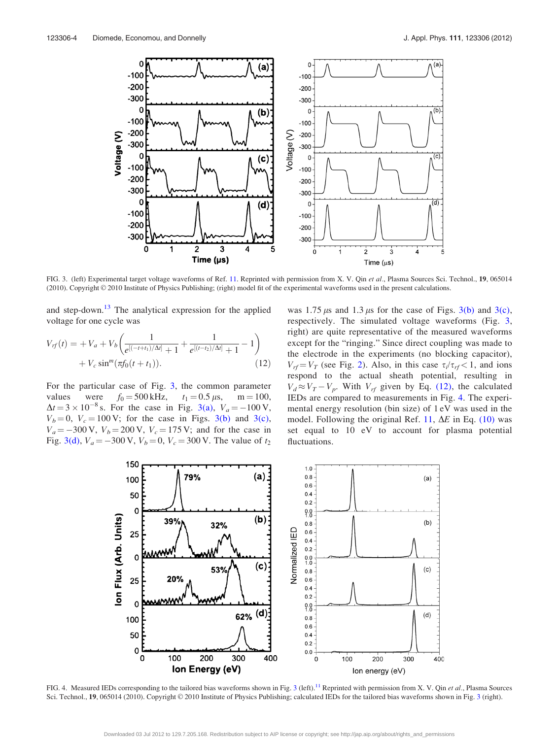<span id="page-3-0"></span>

FIG. 3. (left) Experimental target voltage waveforms of Ref. [11](#page-8-0). Reprinted with permission from X. V. Qin et al., Plasma Sources Sci. Technol., 19, 065014 (2010). Copyright © 2010 Institute of Physics Publishing; (right) model fit of the experimental waveforms used in the present calculations.

and step-down.<sup>[13](#page-8-0)</sup> The analytical expression for the applied voltage for one cycle was

$$
V_{rf}(t) = +V_a + V_b \left( \frac{1}{e^{[(-t+t_1)/\Delta t]} + 1} + \frac{1}{e^{[(t-t_2)/\Delta t]} + 1} - 1 \right) + V_c \sin^m(\pi f_0(t + t_1)).
$$
\n(12)

For the particular case of Fig. 3, the common parameter values were  $f_0 = 500 \text{ kHz}$ ,  $t_1 = 0.5 \mu \text{s}$ , m = 100,  $\Delta t = 3 \times 10^{-8}$  s. For the case in Fig. 3(a),  $V_a = -100 \text{ V}$ ,  $V_b = 0$ ,  $V_c = 100 \text{ V}$ ; for the case in Figs. 3(b) and 3(c),  $V_a = -300 \text{ V}, V_b = 200 \text{ V}, V_c = 175 \text{ V};$  and for the case in Fig. 3(d),  $V_a = -300 \text{ V}$ ,  $V_b = 0$ ,  $V_c = 300 \text{ V}$ . The value of  $t_2$  was 1.75  $\mu$ s and 1.3  $\mu$ s for the case of Figs. 3(b) and 3(c), respectively. The simulated voltage waveforms (Fig. 3, right) are quite representative of the measured waveforms except for the "ringing." Since direct coupling was made to the electrode in the experiments (no blocking capacitor),  $V_{rf} = V_T$  (see Fig. [2\)](#page-1-0). Also, in this case  $\tau_i/\tau_{rf} < 1$ , and ions respond to the actual sheath potential, resulting in  $V_d \approx V_T - V_p$ . With  $V_{rf}$  given by Eq. (12), the calculated IEDs are compared to measurements in Fig. 4. The experimental energy resolution (bin size) of 1 eV was used in the model. Following the original Ref. [11](#page-8-0),  $\Delta E$  in Eq. [\(10\)](#page-2-0) was set equal to 10 eV to account for plasma potential fluctuations.



FIG. 4. Measured IEDs corresponding to the tailored bias waveforms shown in Fig. 3 (left).<sup>11</sup> Reprinted with permission from X. V. Qin et al., Plasma Sources Sci. Technol., 19, 065014 (2010). Copyright © 2010 Institute of Physics Publishing; calculated IEDs for the tailored bias waveforms shown in Fig. 3 (right).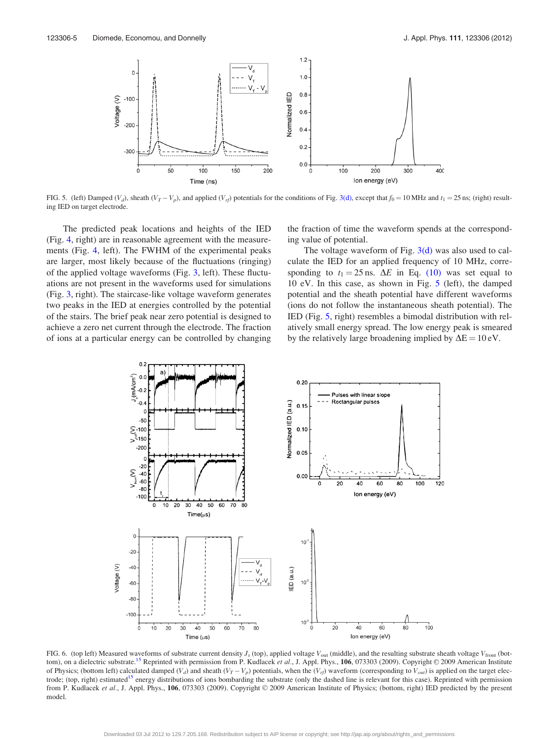<span id="page-4-0"></span>

FIG. 5. (left) Damped (V<sub>d</sub>), sheath (V<sub>T</sub> – V<sub>p</sub>), and applied (V<sub>rf</sub>) potentials for the conditions of Fig. [3\(d\)](#page-3-0), except that  $f_0 = 10$  MHz and  $t_1 = 25$  ns; (right) resulting IED on target electrode.

The predicted peak locations and heights of the IED (Fig. [4,](#page-3-0) right) are in reasonable agreement with the measurements (Fig. [4,](#page-3-0) left). The FWHM of the experimental peaks are larger, most likely because of the fluctuations (ringing) of the applied voltage waveforms (Fig. [3,](#page-3-0) left). These fluctuations are not present in the waveforms used for simulations (Fig. [3,](#page-3-0) right). The staircase-like voltage waveform generates two peaks in the IED at energies controlled by the potential of the stairs. The brief peak near zero potential is designed to achieve a zero net current through the electrode. The fraction of ions at a particular energy can be controlled by changing the fraction of time the waveform spends at the corresponding value of potential.

The voltage waveform of Fig.  $3(d)$  was also used to calculate the IED for an applied frequency of 10 MHz, corresponding to  $t_1 = 25$  ns.  $\Delta E$  in Eq. [\(10\)](#page-2-0) was set equal to 10 eV. In this case, as shown in Fig. 5 (left), the damped potential and the sheath potential have different waveforms (ions do not follow the instantaneous sheath potential). The IED (Fig. 5, right) resembles a bimodal distribution with relatively small energy spread. The low energy peak is smeared by the relatively large broadening implied by  $\Delta E = 10 \text{ eV}$ .



FIG. 6. (top left) Measured waveforms of substrate current density  $J_s$  (top), applied voltage  $V_{\text{out}}$  (middle), and the resulting substrate sheath voltage  $V_{\text{front}}$  (bot-tom), on a dielectric substrate.<sup>[15](#page-8-0)</sup> Reprinted with permission from P. Kudlacek et al., J. Appl. Phys.,  $106$ , 073303 (2009). Copyright  $\odot$  2009 American Institute of Physics; (bottom left) calculated damped  $(V_d)$  and sheath  $(V_T - V_p)$  potentials, when the  $(V_{rf})$  waveform (corresponding to  $V_{out}$ ) is applied on the target electrode; (top, right) estimated<sup>15</sup> energy distributions of ions bombarding the substrate (only the dashed line is relevant for this case). Reprinted with permission from P. Kudlacek et al., J. Appl. Phys., 106, 073303 (2009). Copyright © 2009 American Institute of Physics; (bottom, right) IED predicted by the present model.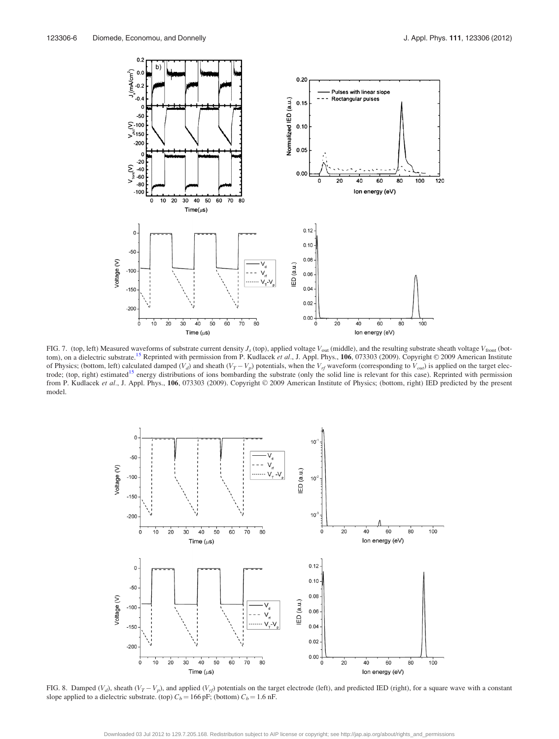<span id="page-5-0"></span>

FIG. 7. (top, left) Measured waveforms of substrate current density  $J_s$  (top), applied voltage  $V_{\text{out}}$  (middle), and the resulting substrate sheath voltage  $V_{\text{front}}$  (bot-tom), on a dielectric substrate.<sup>[15](#page-8-0)</sup> Reprinted with permission from P. Kudlacek et al., J. Appl. Phys., 106, 073303 (2009). Copyright © 2009 American Institute of Physics; (bottom, left) calculated damped  $(V_d)$  and sheath  $(V_T - V_p)$  potentials, when the  $V_{rf}$  waveform (corresponding to  $V_{out}$ ) is applied on the target electrode; (top, right) estimated<sup>15</sup> energy distributions of ions bombarding the substrate (only the solid line is relevant for this case). Reprinted with permission from P. Kudlacek et al., J. Appl. Phys., 106, 073303 (2009). Copyright © 2009 American Institute of Physics; (bottom, right) IED predicted by the present model.



FIG. 8. Damped (V<sub>d</sub>), sheath (V<sub>T</sub> – V<sub>p</sub>), and applied (V<sub>rf</sub>) potentials on the target electrode (left), and predicted IED (right), for a square wave with a constant slope applied to a dielectric substrate. (top)  $C_b = 166$  pF; (bottom)  $C_b = 1.6$  nF.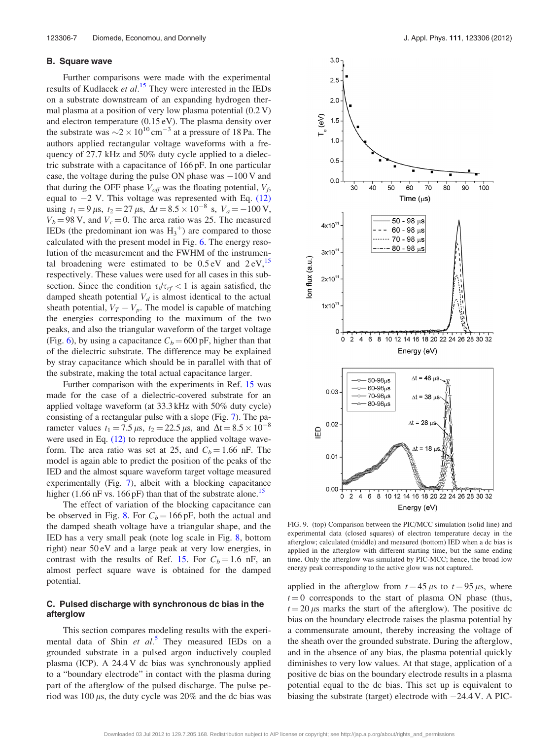# <span id="page-6-0"></span>B. Square wave

Further comparisons were made with the experimental results of Kudlacek et  $al$ .<sup>[15](#page-8-0)</sup> They were interested in the IEDs on a substrate downstream of an expanding hydrogen thermal plasma at a position of very low plasma potential (0.2 V) and electron temperature (0.15 eV). The plasma density over the substrate was  $\sim$  2  $\times$  10<sup>10</sup> cm<sup>-3</sup> at a pressure of 18 Pa. The authors applied rectangular voltage waveforms with a frequency of 27.7 kHz and 50% duty cycle applied to a dielectric substrate with a capacitance of 166 pF. In one particular case, the voltage during the pulse ON phase was  $-100$  V and that during the OFF phase  $V_{off}$  was the floating potential,  $V_f$ , equal to  $-2$  V. This voltage was represented with Eq. [\(12\)](#page-3-0) using  $t_1 = 9 \,\mu s$ ,  $t_2 = 27 \,\mu s$ ,  $\Delta t = 8.5 \times 10^{-8} \text{ s}$ ,  $V_a = -100 \,\text{V}$ ,  $V_b = 98$  V, and  $V_c = 0$ . The area ratio was 25. The measured IEDs (the predominant ion was  $H_3^+$ ) are compared to those calculated with the present model in Fig. [6](#page-4-0). The energy resolution of the measurement and the FWHM of the instrumental broadening were estimated to be  $0.5 \text{ eV}$  and  $2 \text{ eV}$ ,  $^{15}$  $^{15}$  $^{15}$ respectively. These values were used for all cases in this subsection. Since the condition  $\tau_i/\tau_{rf} < 1$  is again satisfied, the damped sheath potential  $V_d$  is almost identical to the actual sheath potential,  $V_T - V_p$ . The model is capable of matching the energies corresponding to the maximum of the two peaks, and also the triangular waveform of the target voltage (Fig. [6\)](#page-4-0), by using a capacitance  $C_b = 600 \text{ pF}$ , higher than that of the dielectric substrate. The difference may be explained by stray capacitance which should be in parallel with that of the substrate, making the total actual capacitance larger.

Further comparison with the experiments in Ref. [15](#page-8-0) was made for the case of a dielectric-covered substrate for an applied voltage waveform (at 33.3 kHz with 50% duty cycle) consisting of a rectangular pulse with a slope (Fig. [7](#page-5-0)). The parameter values  $t_1 = 7.5 \,\mu s$ ,  $t_2 = 22.5 \,\mu s$ , and  $\Delta t = 8.5 \times 10^{-8}$ were used in Eq. [\(12\)](#page-3-0) to reproduce the applied voltage waveform. The area ratio was set at 25, and  $C_b = 1.66$  nF. The model is again able to predict the position of the peaks of the IED and the almost square waveform target voltage measured experimentally (Fig. [7](#page-5-0)), albeit with a blocking capacitance higher (1.66 nF vs. 166 pF) than that of the substrate alone.<sup>15</sup>

The effect of variation of the blocking capacitance can be observed in Fig. [8](#page-5-0). For  $C_b = 166$  pF, both the actual and the damped sheath voltage have a triangular shape, and the IED has a very small peak (note log scale in Fig. [8,](#page-5-0) bottom right) near 50 eV and a large peak at very low energies, in contrast with the results of Ref. [15](#page-8-0). For  $C_b = 1.6$  nF, an almost perfect square wave is obtained for the damped potential.

# C. Pulsed discharge with synchronous dc bias in the afterglow

This section compares modeling results with the experimental data of Shin et  $al^5$  $al^5$ . They measured IEDs on a grounded substrate in a pulsed argon inductively coupled plasma (ICP). A 24.4 V dc bias was synchronously applied to a "boundary electrode" in contact with the plasma during part of the afterglow of the pulsed discharge. The pulse period was 100  $\mu$ s, the duty cycle was 20% and the dc bias was



FIG. 9. (top) Comparison between the PIC/MCC simulation (solid line) and experimental data (closed squares) of electron temperature decay in the afterglow; calculated (middle) and measured (bottom) IED when a dc bias is applied in the afterglow with different starting time, but the same ending time. Only the afterglow was simulated by PIC-MCC; hence, the broad low energy peak corresponding to the active glow was not captured.

applied in the afterglow from  $t = 45 \mu s$  to  $t = 95 \mu s$ , where  $t = 0$  corresponds to the start of plasma ON phase (thus,  $t = 20 \,\mu s$  marks the start of the afterglow). The positive dc bias on the boundary electrode raises the plasma potential by a commensurate amount, thereby increasing the voltage of the sheath over the grounded substrate. During the afterglow, and in the absence of any bias, the plasma potential quickly diminishes to very low values. At that stage, application of a positive dc bias on the boundary electrode results in a plasma potential equal to the dc bias. This set up is equivalent to biasing the substrate (target) electrode with  $-24.4$  V. A PIC-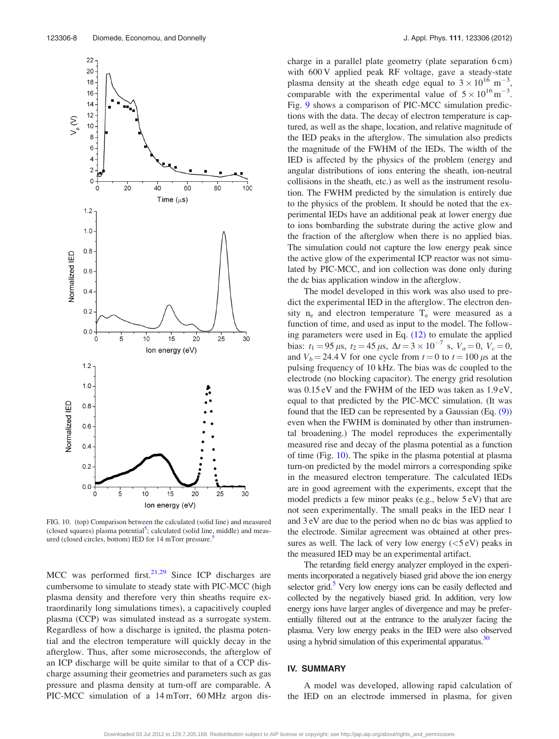

FIG. 10. (top) Comparison between the calculated (solid line) and measured (closed squares) plasma potential<sup>5</sup>; calculated (solid line, middle) and measured (closed circles, bottom) IED for 14 mTorr pressure.

MCC was performed first.<sup>[21,29](#page-8-0)</sup> Since ICP discharges are cumbersome to simulate to steady state with PIC-MCC (high plasma density and therefore very thin sheaths require extraordinarily long simulations times), a capacitively coupled plasma (CCP) was simulated instead as a surrogate system. Regardless of how a discharge is ignited, the plasma potential and the electron temperature will quickly decay in the afterglow. Thus, after some microseconds, the afterglow of an ICP discharge will be quite similar to that of a CCP discharge assuming their geometries and parameters such as gas pressure and plasma density at turn-off are comparable. A PIC-MCC simulation of a 14 mTorr, 60 MHz argon discharge in a parallel plate geometry (plate separation 6 cm) with 600 V applied peak RF voltage, gave a steady-state plasma density at the sheath edge equal to  $3 \times 10^{16}$  m<sup>-3</sup> , comparable with the experimental value of  $5 \times 10^{16}$  m<sup>-3</sup>. Fig. [9](#page-6-0) shows a comparison of PIC-MCC simulation predictions with the data. The decay of electron temperature is captured, as well as the shape, location, and relative magnitude of the IED peaks in the afterglow. The simulation also predicts the magnitude of the FWHM of the IEDs. The width of the IED is affected by the physics of the problem (energy and angular distributions of ions entering the sheath, ion-neutral collisions in the sheath, etc.) as well as the instrument resolution. The FWHM predicted by the simulation is entirely due to the physics of the problem. It should be noted that the experimental IEDs have an additional peak at lower energy due to ions bombarding the substrate during the active glow and the fraction of the afterglow when there is no applied bias. The simulation could not capture the low energy peak since the active glow of the experimental ICP reactor was not simulated by PIC-MCC, and ion collection was done only during the dc bias application window in the afterglow.

The model developed in this work was also used to predict the experimental IED in the afterglow. The electron density  $n_e$  and electron temperature  $T_e$  were measured as a function of time, and used as input to the model. The following parameters were used in Eq. [\(12\)](#page-3-0) to emulate the applied bias:  $t_1 = 95 \,\mu s$ ,  $t_2 = 45 \,\mu s$ ,  $\Delta t = 3 \times 10^{-7} \text{ s}$ ,  $V_a = 0$ ,  $V_c = 0$ , and  $V_b = 24.4$  V for one cycle from  $t = 0$  to  $t = 100 \,\mu s$  at the pulsing frequency of 10 kHz. The bias was dc coupled to the electrode (no blocking capacitor). The energy grid resolution was 0.15 eV and the FWHM of the IED was taken as 1.9 eV, equal to that predicted by the PIC-MCC simulation. (It was found that the IED can be represented by a Gaussian (Eq. [\(9\)\)](#page-2-0) even when the FWHM is dominated by other than instrumental broadening.) The model reproduces the experimentally measured rise and decay of the plasma potential as a function of time (Fig. 10). The spike in the plasma potential at plasma turn-on predicted by the model mirrors a corresponding spike in the measured electron temperature. The calculated IEDs are in good agreement with the experiments, except that the model predicts a few minor peaks (e.g., below 5 eV) that are not seen experimentally. The small peaks in the IED near 1 and 3 eV are due to the period when no dc bias was applied to the electrode. Similar agreement was obtained at other pressures as well. The lack of very low energy  $(<5 eV)$  peaks in the measured IED may be an experimental artifact.

The retarding field energy analyzer employed in the experiments incorporated a negatively biased grid above the ion energy selector grid.<sup>5</sup> Very low energy ions can be easily deflected and collected by the negatively biased grid. In addition, very low energy ions have larger angles of divergence and may be preferentially filtered out at the entrance to the analyzer facing the plasma. Very low energy peaks in the IED were also observed using a hybrid simulation of this experimental apparatus.<sup>30</sup>

### IV. SUMMARY

A model was developed, allowing rapid calculation of the IED on an electrode immersed in plasma, for given